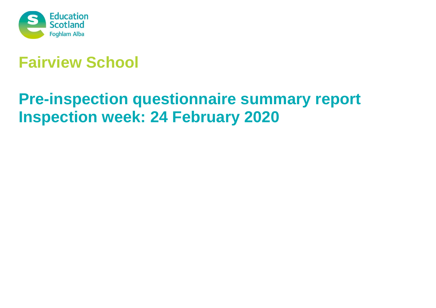

# **Fairview School**

# **Pre-inspection questionnaire summary report Inspection week: 24 February 2020**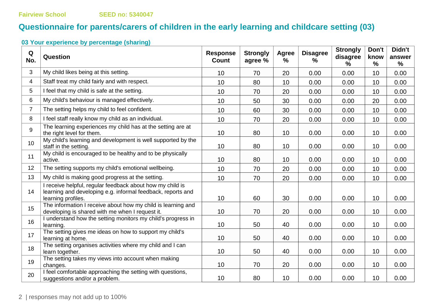# **Questionnaire for parents/carers of children in the early learning and childcare setting (03)**

| Q<br>No.       | Question                                                                                                                                       | <b>Response</b><br><b>Count</b> | <b>Strongly</b><br>agree % | Agree<br>% | <b>Disagree</b><br>% | <b>Strongly</b><br>disagree<br>$\frac{9}{6}$ | Don't<br>know<br>$\frac{0}{0}$ | Didn't<br>answer<br>$\%$ |
|----------------|------------------------------------------------------------------------------------------------------------------------------------------------|---------------------------------|----------------------------|------------|----------------------|----------------------------------------------|--------------------------------|--------------------------|
| 3              | My child likes being at this setting.                                                                                                          | 10                              | 70                         | 20         | 0.00                 | 0.00                                         | 10                             | 0.00                     |
| 4              | Staff treat my child fairly and with respect.                                                                                                  | 10                              | 80                         | 10         | 0.00                 | 0.00                                         | 10                             | 0.00                     |
| 5              | I feel that my child is safe at the setting.                                                                                                   | 10                              | 70                         | 20         | 0.00                 | 0.00                                         | 10                             | 0.00                     |
| 6              | My child's behaviour is managed effectively.                                                                                                   | 10                              | 50                         | 30         | 0.00                 | 0.00                                         | 20                             | 0.00                     |
| $\overline{7}$ | The setting helps my child to feel confident.                                                                                                  | 10                              | 60                         | 30         | 0.00                 | 0.00                                         | 10                             | 0.00                     |
| 8              | I feel staff really know my child as an individual.                                                                                            | 10                              | 70                         | 20         | 0.00                 | 0.00                                         | 10                             | 0.00                     |
| 9              | The learning experiences my child has at the setting are at<br>the right level for them.                                                       | 10                              | 80                         | 10         | 0.00                 | 0.00                                         | 10                             | 0.00                     |
| 10             | My child's learning and development is well supported by the<br>staff in the setting.                                                          | 10                              | 80                         | 10         | 0.00                 | 0.00                                         | 10                             | 0.00                     |
| 11             | My child is encouraged to be healthy and to be physically<br>active.                                                                           | 10                              | 80                         | 10         | 0.00                 | 0.00                                         | 10                             | 0.00                     |
| 12             | The setting supports my child's emotional wellbeing.                                                                                           | 10                              | 70                         | 20         | 0.00                 | 0.00                                         | 10                             | 0.00                     |
| 13             | My child is making good progress at the setting.                                                                                               | 10                              | 70                         | 20         | 0.00                 | 0.00                                         | 10                             | 0.00                     |
| 14             | I receive helpful, regular feedback about how my child is<br>learning and developing e.g. informal feedback, reports and<br>learning profiles. | 10                              | 60                         | 30         | 0.00                 | 0.00                                         | 10                             | 0.00                     |
| 15             | The information I receive about how my child is learning and<br>developing is shared with me when I request it.                                | 10                              | 70                         | 20         | 0.00                 | 0.00                                         | 10                             | 0.00                     |
| 16             | I understand how the setting monitors my child's progress in<br>learning.                                                                      | 10                              | 50                         | 40         | 0.00                 | 0.00                                         | 10                             | 0.00                     |
| 17             | The setting gives me ideas on how to support my child's<br>learning at home.                                                                   | 10                              | 50                         | 40         | 0.00                 | 0.00                                         | 10                             | 0.00                     |
| 18             | The setting organises activities where my child and I can<br>learn together.                                                                   | 10                              | 50                         | 40         | 0.00                 | 0.00                                         | 10                             | 0.00                     |
| 19             | The setting takes my views into account when making<br>changes.                                                                                | 10                              | 70                         | 20         | 0.00                 | 0.00                                         | 10                             | 0.00                     |
| 20             | I feel comfortable approaching the setting with questions,<br>suggestions and/or a problem.                                                    | 10                              | 80                         | 10         | 0.00                 | 0.00                                         | 10                             | 0.00                     |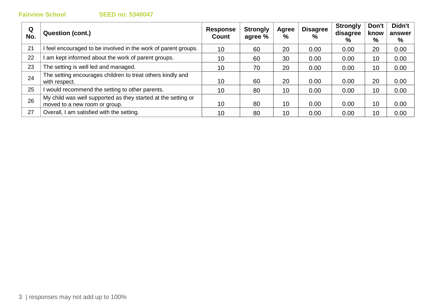| Q<br>No. | <b>Question (cont.)</b>                                                                        | Response<br>Count | <b>Strongly</b><br>agree % | Agree<br>% | <b>Disagree</b><br>$\%$ | <b>Strongly</b><br>disagree<br>% | Don't<br>know<br>% | Didn't<br>answer<br>% |
|----------|------------------------------------------------------------------------------------------------|-------------------|----------------------------|------------|-------------------------|----------------------------------|--------------------|-----------------------|
| 21       | I feel encouraged to be involved in the work of parent groups.                                 | 10                | 60                         | 20         | 0.00                    | 0.00                             | 20                 | 0.00                  |
| 22       | am kept informed about the work of parent groups.                                              | 10                | 60                         | 30         | 0.00                    | 0.00                             | 10                 | 0.00                  |
| 23       | The setting is well led and managed.                                                           | 10                | 70                         | 20         | 0.00                    | 0.00                             | 10                 | 0.00                  |
| 24       | The setting encourages children to treat others kindly and<br>with respect.                    | 10                | 60                         | 20         | 0.00                    | 0.00                             | 20                 | 0.00                  |
| 25       | I would recommend the setting to other parents.                                                | 10                | 80                         | 10         | 0.00                    | 0.00                             | 10                 | 0.00                  |
| 26       | My child was well supported as they started at the setting or<br>moved to a new room or group. | 10                | 80                         | 10         | 0.00                    | 0.00                             | 10                 | 0.00                  |
| 27       | Overall, I am satisfied with the setting.                                                      | 10                | 80                         | 10         | 0.00                    | 0.00                             | 10                 | 0.00                  |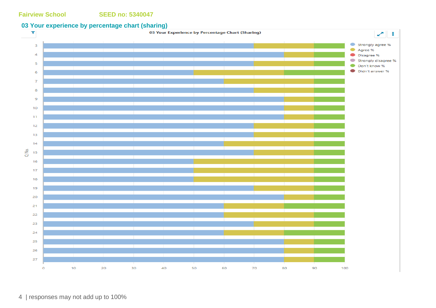### **03 Your experience by percentage chart (sharing)**

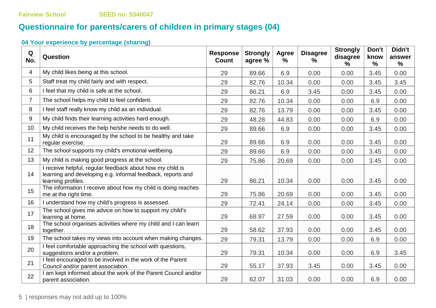# **Questionnaire for parents/carers of children in primary stages (04)**

| Q<br>No.       | Question                                                                                                                                       | <b>Response</b><br><b>Count</b> | <b>Strongly</b><br>agree % | <b>Agree</b><br>% | <b>Disagree</b><br>% | <b>Strongly</b><br>disagree<br>$\%$ | Don't<br>know<br>% | Didn't<br>answer<br>% |
|----------------|------------------------------------------------------------------------------------------------------------------------------------------------|---------------------------------|----------------------------|-------------------|----------------------|-------------------------------------|--------------------|-----------------------|
| 4              | My child likes being at this school.                                                                                                           | 29                              | 89.66                      | 6.9               | 0.00                 | 0.00                                | 3.45               | 0.00                  |
| 5              | Staff treat my child fairly and with respect.                                                                                                  | 29                              | 82.76                      | 10.34             | 0.00                 | 0.00                                | 3.45               | 3.45                  |
| 6              | I feel that my child is safe at the school.                                                                                                    | 29                              | 86.21                      | 6.9               | 3.45                 | 0.00                                | 3.45               | 0.00                  |
| $\overline{7}$ | The school helps my child to feel confident.                                                                                                   | 29                              | 82.76                      | 10.34             | 0.00                 | 0.00                                | 6.9                | 0.00                  |
| 8              | I feel staff really know my child as an individual.                                                                                            | 29                              | 82.76                      | 13.79             | 0.00                 | 0.00                                | 3.45               | 0.00                  |
| 9              | My child finds their learning activities hard enough.                                                                                          | 29                              | 48.28                      | 44.83             | 0.00                 | 0.00                                | 6.9                | 0.00                  |
| 10             | My child receives the help he/she needs to do well.                                                                                            | 29                              | 89.66                      | 6.9               | 0.00                 | 0.00                                | 3.45               | 0.00                  |
| 11             | My child is encouraged by the school to be healthy and take<br>regular exercise.                                                               | 29                              | 89.66                      | 6.9               | 0.00                 | 0.00                                | 3.45               | 0.00                  |
| 12             | The school supports my child's emotional wellbeing.                                                                                            | 29                              | 89.66                      | 6.9               | 0.00                 | 0.00                                | 3.45               | 0.00                  |
| 13             | My child is making good progress at the school.                                                                                                | 29                              | 75.86                      | 20.69             | 0.00                 | 0.00                                | 3.45               | 0.00                  |
| 14             | I receive helpful, regular feedback about how my child is<br>learning and developing e.g. informal feedback, reports and<br>learning profiles. | 29                              | 86.21                      | 10.34             | 0.00                 | 0.00                                | 3.45               | 0.00                  |
| 15             | The information I receive about how my child is doing reaches<br>me at the right time.                                                         | 29                              | 75.86                      | 20.69             | 0.00                 | 0.00                                | 3.45               | 0.00                  |
| 16             | I understand how my child's progress is assessed.                                                                                              | 29                              | 72.41                      | 24.14             | 0.00                 | 0.00                                | 3.45               | 0.00                  |
| 17             | The school gives me advice on how to support my child's<br>learning at home.                                                                   | 29                              | 68.97                      | 27.59             | 0.00                 | 0.00                                | 3.45               | 0.00                  |
| 18             | The school organises activities where my child and I can learn<br>together.                                                                    | 29                              | 58.62                      | 37.93             | 0.00                 | 0.00                                | 3.45               | 0.00                  |
| 19             | The school takes my views into account when making changes.                                                                                    | 29                              | 79.31                      | 13.79             | 0.00                 | 0.00                                | 6.9                | 0.00                  |
| 20             | I feel comfortable approaching the school with questions,<br>suggestions and/or a problem.                                                     | 29                              | 79.31                      | 10.34             | 0.00                 | 0.00                                | 6.9                | 3.45                  |
| 21             | I feel encouraged to be involved in the work of the Parent<br>Council and/or parent association.                                               | 29                              | 55.17                      | 37.93             | 3.45                 | 0.00                                | 3.45               | 0.00                  |
| 22             | I am kept informed about the work of the Parent Council and/or<br>parent association.                                                          | 29                              | 62.07                      | 31.03             | 0.00                 | 0.00                                | 6.9                | 0.00                  |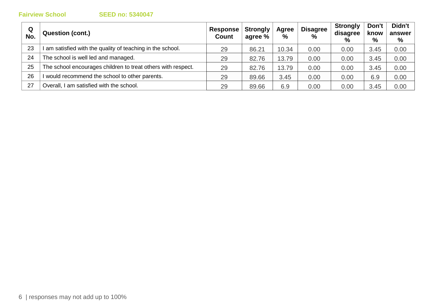| Q<br>No. | <b>Question (cont.)</b>                                      | Response<br><b>Count</b> | <b>Strongly</b><br>agree % | Agree<br>% | <b>Disagree</b><br>$\%$ | <b>Strongly</b><br>disagree<br>$\frac{0}{0}$ | Don't<br>know<br>% | Didn't<br>answer<br>% |
|----------|--------------------------------------------------------------|--------------------------|----------------------------|------------|-------------------------|----------------------------------------------|--------------------|-----------------------|
| 23       | am satisfied with the quality of teaching in the school.     | 29                       | 86.21                      | 10.34      | 0.00                    | 0.00                                         | 3.45               | 0.00                  |
| 24       | The school is well led and managed.                          | 29                       | 82.76                      | 13.79      | 0.00                    | 0.00                                         | 3.45               | 0.00                  |
| 25       | The school encourages children to treat others with respect. | 29                       | 82.76                      | 13.79      | 0.00                    | 0.00                                         | 3.45               | 0.00                  |
| 26       | would recommend the school to other parents.                 | 29                       | 89.66                      | 3.45       | 0.00                    | 0.00                                         | 6.9                | 0.00                  |
| 27       | Overall, I am satisfied with the school.                     | 29                       | 89.66                      | 6.9        | 0.00                    | 0.00                                         | 3.45               | 0.00                  |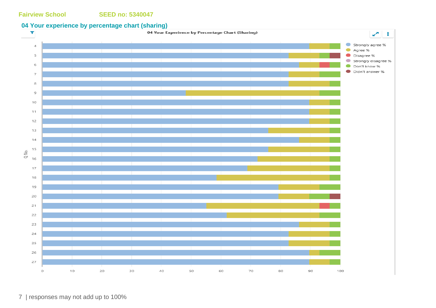### **04 Your experience by percentage chart (sharing)**

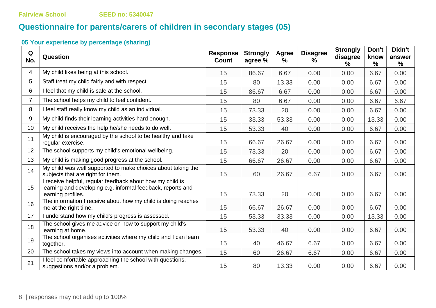# **Questionnaire for parents/carers of children in secondary stages (05)**

| Q<br>No.       | Question                                                                                                                                       | <b>Response</b><br><b>Count</b> | <b>Strongly</b><br>agree % | Agree<br>$\frac{0}{0}$ | <b>Disagree</b><br>$\%$ | <b>Strongly</b><br>disagree<br>℅ | Don't<br>know<br>$\frac{9}{6}$ | Didn't<br>answer<br>% |
|----------------|------------------------------------------------------------------------------------------------------------------------------------------------|---------------------------------|----------------------------|------------------------|-------------------------|----------------------------------|--------------------------------|-----------------------|
| $\overline{4}$ | My child likes being at this school.                                                                                                           | 15                              | 86.67                      | 6.67                   | 0.00                    | 0.00                             | 6.67                           | 0.00                  |
| 5              | Staff treat my child fairly and with respect.                                                                                                  | 15                              | 80                         | 13.33                  | 0.00                    | 0.00                             | 6.67                           | 0.00                  |
| 6              | I feel that my child is safe at the school.                                                                                                    | 15                              | 86.67                      | 6.67                   | 0.00                    | 0.00                             | 6.67                           | 0.00                  |
| $\overline{7}$ | The school helps my child to feel confident.                                                                                                   | 15                              | 80                         | 6.67                   | 0.00                    | 0.00                             | 6.67                           | 6.67                  |
| 8              | I feel staff really know my child as an individual.                                                                                            | 15                              | 73.33                      | 20                     | 0.00                    | 0.00                             | 6.67                           | 0.00                  |
| 9              | My child finds their learning activities hard enough.                                                                                          | 15                              | 33.33                      | 53.33                  | 0.00                    | 0.00                             | 13.33                          | 0.00                  |
| 10             | My child receives the help he/she needs to do well.                                                                                            | 15                              | 53.33                      | 40                     | 0.00                    | 0.00                             | 6.67                           | 0.00                  |
| 11             | My child is encouraged by the school to be healthy and take<br>regular exercise.                                                               | 15                              | 66.67                      | 26.67                  | 0.00                    | 0.00                             | 6.67                           | 0.00                  |
| 12             | The school supports my child's emotional wellbeing.                                                                                            | 15                              | 73.33                      | 20                     | 0.00                    | 0.00                             | 6.67                           | 0.00                  |
| 13             | My child is making good progress at the school.                                                                                                | 15                              | 66.67                      | 26.67                  | 0.00                    | 0.00                             | 6.67                           | 0.00                  |
| 14             | My child was well supported to make choices about taking the<br>subjects that are right for them.                                              | 15                              | 60                         | 26.67                  | 6.67                    | 0.00                             | 6.67                           | 0.00                  |
| 15             | I receive helpful, regular feedback about how my child is<br>learning and developing e.g. informal feedback, reports and<br>learning profiles. | 15                              | 73.33                      | 20                     | 0.00                    | 0.00                             | 6.67                           | 0.00                  |
| 16             | The information I receive about how my child is doing reaches<br>me at the right time.                                                         | 15                              | 66.67                      | 26.67                  | 0.00                    | 0.00                             | 6.67                           | 0.00                  |
| 17             | I understand how my child's progress is assessed.                                                                                              | 15                              | 53.33                      | 33.33                  | 0.00                    | 0.00                             | 13.33                          | 0.00                  |
| 18             | The school gives me advice on how to support my child's<br>learning at home.                                                                   | 15                              | 53.33                      | 40                     | 0.00                    | 0.00                             | 6.67                           | 0.00                  |
| 19             | The school organises activities where my child and I can learn<br>together.                                                                    | 15                              | 40                         | 46.67                  | 6.67                    | 0.00                             | 6.67                           | 0.00                  |
| 20             | The school takes my views into account when making changes.                                                                                    | 15                              | 60                         | 26.67                  | 6.67                    | 0.00                             | 6.67                           | 0.00                  |
| 21             | I feel comfortable approaching the school with questions,<br>suggestions and/or a problem.                                                     | 15                              | 80                         | 13.33                  | 0.00                    | 0.00                             | 6.67                           | 0.00                  |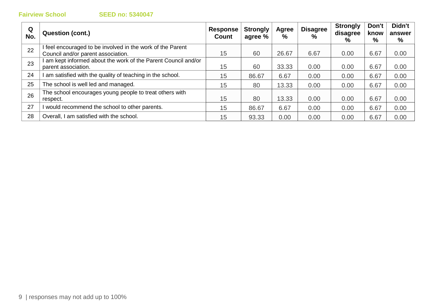| Q<br>No. | Question (cont.)                                                                               | <b>Response</b><br>Count | <b>Strongly</b><br>agree % | Agree<br>% | <b>Disagree</b><br>$\%$ | <b>Strongly</b><br>disagree<br>% | Don't<br>know<br>% | Didn't<br>answer<br>% |
|----------|------------------------------------------------------------------------------------------------|--------------------------|----------------------------|------------|-------------------------|----------------------------------|--------------------|-----------------------|
| 22       | feel encouraged to be involved in the work of the Parent<br>Council and/or parent association. | 15                       | 60                         | 26.67      | 6.67                    | 0.00                             | 6.67               | 0.00                  |
| 23       | am kept informed about the work of the Parent Council and/or<br>parent association.            | 15                       | 60                         | 33.33      | 0.00                    | 0.00                             | 6.67               | 0.00                  |
| 24       | am satisfied with the quality of teaching in the school.                                       | 15                       | 86.67                      | 6.67       | 0.00                    | 0.00                             | 6.67               | 0.00                  |
| 25       | The school is well led and managed.                                                            | 15                       | 80                         | 13.33      | 0.00                    | 0.00                             | 6.67               | 0.00                  |
| 26       | The school encourages young people to treat others with<br>respect.                            | 15                       | 80                         | 13.33      | 0.00                    | 0.00                             | 6.67               | 0.00                  |
| 27       | would recommend the school to other parents.                                                   | 15                       | 86.67                      | 6.67       | 0.00                    | 0.00                             | 6.67               | 0.00                  |
| 28       | Overall, I am satisfied with the school.                                                       | 15                       | 93.33                      | 0.00       | 0.00                    | 0.00                             | 6.67               | 0.00                  |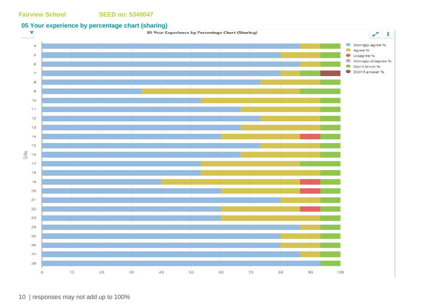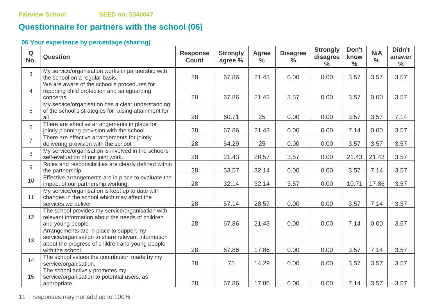# **Questionnaire for partners with the school (06)**

# **06 Your experience by percentage (sharing)**

| Q<br>No.       | <b>Question</b>                                                                                                                                                      | <b>Response</b><br><b>Count</b> | <b>Strongly</b><br>agree % | <b>Agree</b><br>$\frac{0}{0}$ | <b>Disagree</b><br>$\frac{0}{0}$ | <b>Strongly</b><br>disagree<br>$\frac{0}{0}$ | Don't<br>know<br>$\frac{0}{0}$ | N/A<br>$\frac{0}{0}$ | Didn't<br>answer<br>$\frac{0}{0}$ |
|----------------|----------------------------------------------------------------------------------------------------------------------------------------------------------------------|---------------------------------|----------------------------|-------------------------------|----------------------------------|----------------------------------------------|--------------------------------|----------------------|-----------------------------------|
| 3              | My service/organisation works in partnership with<br>the school on a regular basis.                                                                                  | 28                              | 67.86                      | 21.43                         | 0.00                             | 0.00                                         | 3.57                           | 3.57                 | 3.57                              |
| $\overline{4}$ | We are aware of the school's procedures for<br>reporting child protection and safeguarding<br>concerns.                                                              | 28                              | 67.86                      | 21.43                         | 3.57                             | 0.00                                         | 3.57                           | 0.00                 | 3.57                              |
| 5              | My service/organisation has a clear understanding<br>of the school's strategies for raising attainment for<br>all.                                                   | 28                              | 60.71                      | 25                            | 0.00                             | 0.00                                         | 3.57                           | 3.57                 | 7.14                              |
| 6              | There are effective arrangements in place for<br>jointly planning provision with the school.                                                                         | 28                              | 67.86                      | 21.43                         | 0.00                             | 0.00                                         | 7.14                           | 0.00                 | 3.57                              |
| $\overline{7}$ | There are effective arrangements for jointly<br>delivering provision with the school.                                                                                | 28                              | 64.29                      | 25                            | 0.00                             | 0.00                                         | 3.57                           | 3.57                 | 3.57                              |
| 8              | My service/organisation is involved in the school's<br>self-evaluation of our joint work.                                                                            | 28                              | 21.43                      | 28.57                         | 3.57                             | 0.00                                         | 21.43                          | 21.43                | 3.57                              |
| 9              | Roles and responsibilities are clearly defined within<br>the partnership.                                                                                            | 28                              | 53.57                      | 32.14                         | 0.00                             | 0.00                                         | 3.57                           | 7.14                 | 3.57                              |
| 10             | Effective arrangements are in place to evaluate the<br>impact of our partnership working.                                                                            | 28                              | 32.14                      | 32.14                         | 3.57                             | 0.00                                         | 10.71                          | 17.86                | 3.57                              |
| 11             | My service/organisation is kept up to date with<br>changes in the school which may affect the<br>services we deliver.                                                | 28                              | 57.14                      | 28.57                         | 0.00                             | 0.00                                         | 3.57                           | 7.14                 | 3.57                              |
| 12             | The school provides my service/organisation with<br>relevant information about the needs of children<br>and young people.                                            | 28                              | 67.86                      | 21.43                         | 0.00                             | 0.00                                         | 7.14                           | 0.00                 | 3.57                              |
| 13             | Arrangements are in place to support my<br>service/organisation to share relevant information<br>about the progress of children and young people<br>with the school. | 28                              | 67.86                      | 17.86                         | 0.00                             | 0.00                                         | 3.57                           | 7.14                 | 3.57                              |
| 14             | The school values the contribution made by my<br>service/organisation.                                                                                               | 28                              | 75                         | 14.29                         | 0.00                             | 0.00                                         | 3.57                           | 3.57                 | 3.57                              |
| 15             | The school actively promotes my<br>service/organisation to potential users, as<br>appropriate.                                                                       | 28                              | 67.86                      | 17.86                         | 0.00                             | 0.00                                         | 7.14                           | 3.57                 | 3.57                              |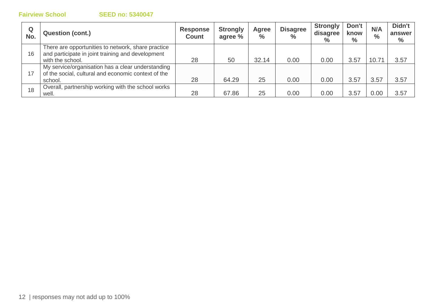| Q<br>No. | <b>Question (cont.)</b>                                                                                                     | <b>Response</b><br><b>Count</b> | <b>Strongly</b><br>agree % | Agree<br>$\frac{1}{2}$ | <b>Disagree</b><br>$\frac{6}{6}$ | <b>Strongly</b><br>disagree<br>$\%$ | Don't<br>know<br>$\%$ | N/A<br>$\frac{0}{0}$ | Didn't<br>answer<br>$\%$ |
|----------|-----------------------------------------------------------------------------------------------------------------------------|---------------------------------|----------------------------|------------------------|----------------------------------|-------------------------------------|-----------------------|----------------------|--------------------------|
| 16       | There are opportunities to network, share practice<br>and participate in joint training and development<br>with the school. | 28                              | 50                         | 32.14                  | 0.00                             | 0.00                                | 3.57                  | 10.71                | 3.57                     |
| 17       | My service/organisation has a clear understanding<br>of the social, cultural and economic context of the<br>school.         | 28                              | 64.29                      | 25                     | 0.00                             | 0.00                                | 3.57                  | 3.57                 | 3.57                     |
| 18       | Overall, partnership working with the school works<br>well.                                                                 | 28                              | 67.86                      | 25                     | 0.00                             | 0.00                                | 3.57                  | 0.00                 | 3.57                     |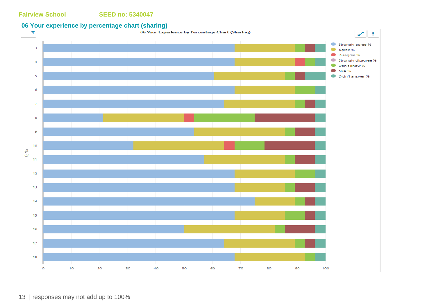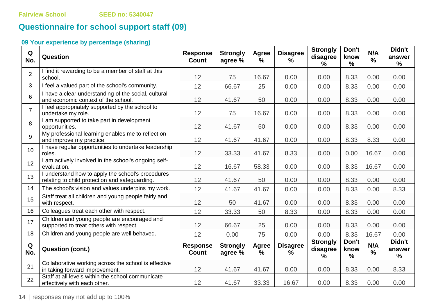# **Questionnaire for school support staff (09)**

# **09 Your experience by percentage (sharing)**

| Q<br>No.       | Question                                                                                            | <b>Response</b><br><b>Count</b> | <b>Strongly</b><br>agree % | Agree<br>% | <b>Disagree</b><br>%    | <b>Strongly</b><br>disagree<br>$\%$ | Don't<br>know<br>$\frac{9}{6}$ | N/A<br>% | Didn't<br>answer<br>% |
|----------------|-----------------------------------------------------------------------------------------------------|---------------------------------|----------------------------|------------|-------------------------|-------------------------------------|--------------------------------|----------|-----------------------|
| $\overline{2}$ | I find it rewarding to be a member of staff at this<br>school.                                      | 12                              | 75                         | 16.67      | 0.00                    | 0.00                                | 8.33                           | 0.00     | 0.00                  |
| 3              | I feel a valued part of the school's community.                                                     | 12                              | 66.67                      | 25         | 0.00                    | 0.00                                | 8.33                           | 0.00     | 0.00                  |
| 6              | I have a clear understanding of the social, cultural<br>and economic context of the school.         | 12                              | 41.67                      | 50         | 0.00                    | 0.00                                | 8.33                           | 0.00     | 0.00                  |
| $\overline{7}$ | I feel appropriately supported by the school to<br>undertake my role.                               | 12                              | 75                         | 16.67      | 0.00                    | 0.00                                | 8.33                           | 0.00     | 0.00                  |
| 8              | I am supported to take part in development<br>opportunities.                                        | 12                              | 41.67                      | 50         | 0.00                    | 0.00                                | 8.33                           | 0.00     | 0.00                  |
| 9              | My professional learning enables me to reflect on<br>and improve my practice.                       | 12                              | 41.67                      | 41.67      | 0.00                    | 0.00                                | 8.33                           | 8.33     | 0.00                  |
| 10             | I have regular opportunities to undertake leadership<br>roles.                                      | 12                              | 33.33                      | 41.67      | 8.33                    | 0.00                                | 0.00                           | 16.67    | 0.00                  |
| 12             | I am actively involved in the school's ongoing self-<br>evaluation.                                 | 12                              | 16.67                      | 58.33      | 0.00                    | 0.00                                | 8.33                           | 16.67    | 0.00                  |
| 13             | I understand how to apply the school's procedures<br>relating to child protection and safeguarding. | 12                              | 41.67                      | 50         | 0.00                    | 0.00                                | 8.33                           | 0.00     | 0.00                  |
| 14             | The school's vision and values underpins my work.                                                   | 12                              | 41.67                      | 41.67      | 0.00                    | 0.00                                | 8.33                           | 0.00     | 8.33                  |
| 15             | Staff treat all children and young people fairly and<br>with respect.                               | 12                              | 50                         | 41.67      | 0.00                    | 0.00                                | 8.33                           | 0.00     | 0.00                  |
| 16             | Colleagues treat each other with respect.                                                           | 12                              | 33.33                      | 50         | 8.33                    | 0.00                                | 8.33                           | 0.00     | 0.00                  |
| 17             | Children and young people are encouraged and<br>supported to treat others with respect.             | 12                              | 66.67                      | 25         | 0.00                    | 0.00                                | 8.33                           | 0.00     | 0.00                  |
| 18             | Children and young people are well behaved.                                                         | 12                              | 0.00                       | 75         | 0.00                    | 0.00                                | 8.33                           | 16.67    | 0.00                  |
| Q<br>No.       | <b>Question (cont.)</b>                                                                             | <b>Response</b><br><b>Count</b> | <b>Strongly</b><br>agree % | Agree<br>% | <b>Disagree</b><br>$\%$ | <b>Strongly</b><br>disagree<br>%    | Don't<br>know<br>$\frac{9}{6}$ | N/A<br>% | Didn't<br>answer<br>% |
| 21             | Collaborative working across the school is effective<br>in taking forward improvement.              | 12                              | 41.67                      | 41.67      | 0.00                    | 0.00                                | 8.33                           | 0.00     | 8.33                  |
| 22             | Staff at all levels within the school communicate<br>effectively with each other.                   | 12                              | 41.67                      | 33.33      | 16.67                   | 0.00                                | 8.33                           | 0.00     | 0.00                  |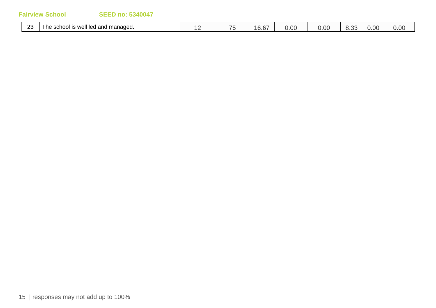| $\sim$<br>∼ | <br>managed.<br>well<br>$\sim$<br><b>COM</b><br>' ne<br>school<br>פו<br>licu dilu<br>- 10 | $-$<br>$\sim$ | $\sim$<br>$\mathsf{U}$ . $\mathsf{U}'$ | 0.00 | 0.00 | .J.J. 1 | v.vu | 0.005 |
|-------------|-------------------------------------------------------------------------------------------|---------------|----------------------------------------|------|------|---------|------|-------|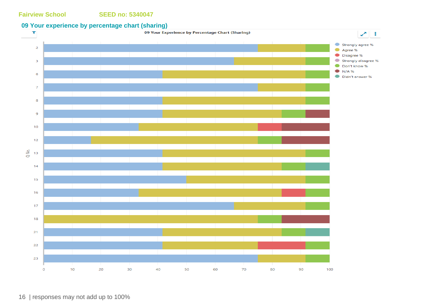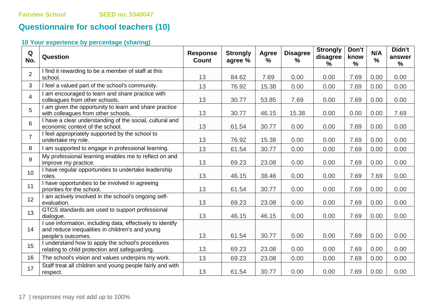# **Questionnaire for school teachers (10)**

| Q<br>No.       | Question                                                                                                                            | <b>Response</b><br><b>Count</b> | <b>Strongly</b><br>agree % | Agree<br>$\frac{9}{6}$ | <b>Disagree</b><br>$\frac{9}{6}$ | <b>Strongly</b><br>disagree<br>$\frac{9}{6}$ | Don't<br>know<br>$\frac{9}{6}$ | N/A<br>$\frac{0}{0}$ | Didn't<br>answer<br>% |
|----------------|-------------------------------------------------------------------------------------------------------------------------------------|---------------------------------|----------------------------|------------------------|----------------------------------|----------------------------------------------|--------------------------------|----------------------|-----------------------|
| $\overline{2}$ | I find it rewarding to be a member of staff at this<br>school.                                                                      | 13                              | 84.62                      | 7.69                   | 0.00                             | 0.00                                         | 7.69                           | 0.00                 | 0.00                  |
| 3              | I feel a valued part of the school's community.                                                                                     | 13                              | 76.92                      | 15.38                  | 0.00                             | 0.00                                         | 7.69                           | 0.00                 | 0.00                  |
| $\overline{4}$ | I am encouraged to learn and share practice with<br>colleagues from other schools.                                                  | 13                              | 30.77                      | 53.85                  | 7.69                             | 0.00                                         | 7.69                           | 0.00                 | 0.00                  |
| 5              | I am given the opportunity to learn and share practice<br>with colleagues from other schools.                                       | 13                              | 30.77                      | 46.15                  | 15.38                            | 0.00                                         | 0.00                           | 0.00                 | 7.69                  |
| 6              | I have a clear understanding of the social, cultural and<br>economic context of the school.                                         | 13                              | 61.54                      | 30.77                  | 0.00                             | 0.00                                         | 7.69                           | 0.00                 | 0.00                  |
| $\overline{7}$ | I feel appropriately supported by the school to<br>undertake my role.                                                               | 13                              | 76.92                      | 15.38                  | 0.00                             | 0.00                                         | 7.69                           | 0.00                 | 0.00                  |
| 8              | I am supported to engage in professional learning.                                                                                  | 13                              | 61.54                      | 30.77                  | 0.00                             | 0.00                                         | 7.69                           | 0.00                 | 0.00                  |
| 9              | My professional learning enables me to reflect on and<br>improve my practice.                                                       | 13                              | 69.23                      | 23.08                  | 0.00                             | 0.00                                         | 7.69                           | 0.00                 | 0.00                  |
| 10             | I have regular opportunities to undertake leadership<br>roles.                                                                      | 13                              | 46.15                      | 38.46                  | 0.00                             | 0.00                                         | 7.69                           | 7.69                 | 0.00                  |
| 11             | I have opportunities to be involved in agreeing<br>priorities for the school.                                                       | 13                              | 61.54                      | 30.77                  | 0.00                             | 0.00                                         | 7.69                           | 0.00                 | 0.00                  |
| 12             | I am actively involved in the school's ongoing self-<br>evaluation.                                                                 | 13                              | 69.23                      | 23.08                  | 0.00                             | 0.00                                         | 7.69                           | 0.00                 | 0.00                  |
| 13             | GTCS standards are used to support professional<br>dialogue.                                                                        | 13                              | 46.15                      | 46.15                  | 0.00                             | 0.00                                         | 7.69                           | 0.00                 | 0.00                  |
| 14             | I use information, including data, effectively to identify<br>and reduce inequalities in children's and young<br>people's outcomes. | 13                              | 61.54                      | 30.77                  | 0.00                             | 0.00                                         | 7.69                           | 0.00                 | 0.00                  |
| 15             | I understand how to apply the school's procedures<br>relating to child protection and safeguarding.                                 | 13                              | 69.23                      | 23.08                  | 0.00                             | 0.00                                         | 7.69                           | 0.00                 | 0.00                  |
| 16             | The school's vision and values underpins my work.                                                                                   | 13                              | 69.23                      | 23.08                  | 0.00                             | 0.00                                         | 7.69                           | 0.00                 | 0.00                  |
| 17             | Staff treat all children and young people fairly and with<br>respect.                                                               | 13                              | 61.54                      | 30.77                  | 0.00                             | 0.00                                         | 7.69                           | 0.00                 | 0.00                  |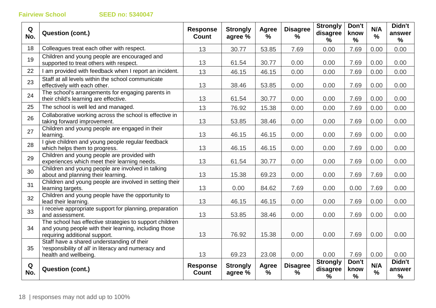| Q<br>No. | <b>Question (cont.)</b>                                                                                                                           | <b>Response</b><br><b>Count</b> | <b>Strongly</b><br>agree % | Agree<br>$\%$     | <b>Disagree</b><br>%             | <b>Strongly</b><br>disagree<br>℅ | Don't<br>know<br>$\%$ | N/A<br>$\frac{1}{2}$ | Didn't<br>answer<br>%    |
|----------|---------------------------------------------------------------------------------------------------------------------------------------------------|---------------------------------|----------------------------|-------------------|----------------------------------|----------------------------------|-----------------------|----------------------|--------------------------|
| 18       | Colleagues treat each other with respect.                                                                                                         | 13                              | 30.77                      | 53.85             | 7.69                             | 0.00                             | 7.69                  | 0.00                 | 0.00                     |
| 19       | Children and young people are encouraged and<br>supported to treat others with respect.                                                           | 13                              | 61.54                      | 30.77             | 0.00                             | 0.00                             | 7.69                  | 0.00                 | 0.00                     |
| 22       | I am provided with feedback when I report an incident.                                                                                            | 13                              | 46.15                      | 46.15             | 0.00                             | 0.00                             | 7.69                  | 0.00                 | 0.00                     |
| 23       | Staff at all levels within the school communicate<br>effectively with each other.                                                                 | 13                              | 38.46                      | 53.85             | 0.00                             | 0.00                             | 7.69                  | 0.00                 | 0.00                     |
| 24       | The school's arrangements for engaging parents in<br>their child's learning are effective.                                                        | 13                              | 61.54                      | 30.77             | 0.00                             | 0.00                             | 7.69                  | 0.00                 | 0.00                     |
| 25       | The school is well led and managed.                                                                                                               | 13                              | 76.92                      | 15.38             | 0.00                             | 0.00                             | 7.69                  | 0.00                 | 0.00                     |
| 26       | Collaborative working across the school is effective in<br>taking forward improvement.                                                            | 13                              | 53.85                      | 38.46             | 0.00                             | 0.00                             | 7.69                  | 0.00                 | 0.00                     |
| 27       | Children and young people are engaged in their<br>learning.                                                                                       | 13                              | 46.15                      | 46.15             | 0.00                             | 0.00                             | 7.69                  | 0.00                 | 0.00                     |
| 28       | I give children and young people regular feedback<br>which helps them to progress.                                                                | 13                              | 46.15                      | 46.15             | 0.00                             | 0.00                             | 7.69                  | 0.00                 | 0.00                     |
| 29       | Children and young people are provided with<br>experiences which meet their learning needs.                                                       | 13                              | 61.54                      | 30.77             | 0.00                             | 0.00                             | 7.69                  | 0.00                 | 0.00                     |
| 30       | Children and young people are involved in talking<br>about and planning their learning.                                                           | 13                              | 15.38                      | 69.23             | 0.00                             | 0.00                             | 7.69                  | 7.69                 | 0.00                     |
| 31       | Children and young people are involved in setting their<br>learning targets.                                                                      | 13                              | 0.00                       | 84.62             | 7.69                             | 0.00                             | 0.00                  | 7.69                 | 0.00                     |
| 32       | Children and young people have the opportunity to<br>lead their learning.                                                                         | 13                              | 46.15                      | 46.15             | 0.00                             | 0.00                             | 7.69                  | 0.00                 | 0.00                     |
| 33       | I receive appropriate support for planning, preparation<br>and assessment.                                                                        | 13                              | 53.85                      | 38.46             | 0.00                             | 0.00                             | 7.69                  | 0.00                 | 0.00                     |
| 34       | The school has effective strategies to support children<br>and young people with their learning, including those<br>requiring additional support. | 13                              | 76.92                      | 15.38             | 0.00                             | 0.00                             | 7.69                  | 0.00                 | 0.00                     |
| 35       | Staff have a shared understanding of their<br>'responsibility of all' in literacy and numeracy and<br>health and wellbeing.                       | 13                              | 69.23                      | 23.08             | 0.00                             | 0.00                             | 7.69                  | 0.00                 | 0.00                     |
| Q<br>No. | <b>Question (cont.)</b>                                                                                                                           | <b>Response</b><br><b>Count</b> | <b>Strongly</b><br>agree % | <b>Agree</b><br>% | <b>Disagree</b><br>$\frac{0}{0}$ | <b>Strongly</b><br>disagree<br>% | Don't<br>know<br>$\%$ | N/A<br>$\frac{9}{6}$ | Didn't<br>answer<br>$\%$ |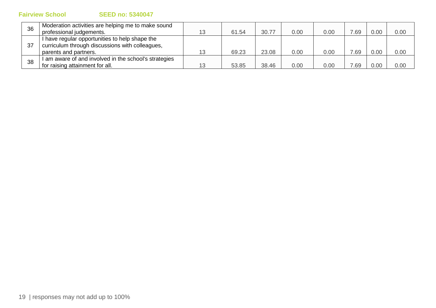|  | <b>SEED no: 5340047</b> |  |  |  |
|--|-------------------------|--|--|--|
|  |                         |  |  |  |

| 36  | Moderation activities are helping me to make sound  |    |       |       |      |      |     |      |      |
|-----|-----------------------------------------------------|----|-------|-------|------|------|-----|------|------|
|     | professional judgements.                            | 13 | 61.54 | 30.77 | 0.00 | 0.00 | .69 | 0.00 | 0.00 |
|     | I have regular opportunities to help shape the      |    |       |       |      |      |     |      |      |
| -37 | curriculum through discussions with colleagues,     |    |       |       |      |      |     |      |      |
|     | parents and partners.                               | 13 | 69.23 | 23.08 | 0.00 | 0.00 | .69 | 0.00 | 0.00 |
| 38  | am aware of and involved in the school's strategies |    |       |       |      |      |     |      |      |
|     | for raising attainment for all.                     | 13 | 53.85 | 38.46 | 0.00 | 0.00 | .69 | 0.00 | 0.00 |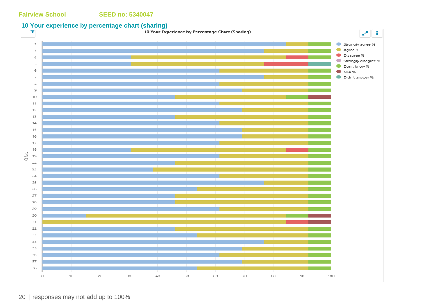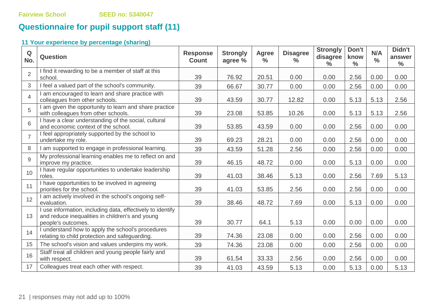# **Questionnaire for pupil support staff (11)**

| Q<br>No.       | <b>Question</b>                                                                                                                     | <b>Response</b><br><b>Count</b> | <b>Strongly</b><br>agree % | <b>Agree</b><br>$\frac{6}{6}$ | <b>Disagree</b><br>$\frac{0}{0}$ | <b>Strongly</b><br>disagree<br>$\frac{0}{0}$ | Don't<br>know<br>$\frac{0}{0}$ | N/A<br>$\frac{0}{0}$ | Didn't<br>answer<br>$\frac{0}{0}$ |
|----------------|-------------------------------------------------------------------------------------------------------------------------------------|---------------------------------|----------------------------|-------------------------------|----------------------------------|----------------------------------------------|--------------------------------|----------------------|-----------------------------------|
| $\overline{2}$ | I find it rewarding to be a member of staff at this<br>school.                                                                      | 39                              | 76.92                      | 20.51                         | 0.00                             | 0.00                                         | 2.56                           | 0.00                 | 0.00                              |
| 3              | I feel a valued part of the school's community.                                                                                     | 39                              | 66.67                      | 30.77                         | 0.00                             | 0.00                                         | 2.56                           | 0.00                 | 0.00                              |
| $\overline{4}$ | I am encouraged to learn and share practice with<br>colleagues from other schools.                                                  | 39                              | 43.59                      | 30.77                         | 12.82                            | 0.00                                         | 5.13                           | 5.13                 | 2.56                              |
| 5              | I am given the opportunity to learn and share practice<br>with colleagues from other schools.                                       | 39                              | 23.08                      | 53.85                         | 10.26                            | 0.00                                         | 5.13                           | 5.13                 | 2.56                              |
| 6              | I have a clear understanding of the social, cultural<br>and economic context of the school.                                         | 39                              | 53.85                      | 43.59                         | 0.00                             | 0.00                                         | 2.56                           | 0.00                 | 0.00                              |
| $\overline{7}$ | I feel appropriately supported by the school to<br>undertake my role.                                                               | 39                              | 69.23                      | 28.21                         | 0.00                             | 0.00                                         | 2.56                           | 0.00                 | 0.00                              |
| 8              | I am supported to engage in professional learning.                                                                                  | 39                              | 43.59                      | 51.28                         | 2.56                             | 0.00                                         | 2.56                           | 0.00                 | 0.00                              |
| 9              | My professional learning enables me to reflect on and<br>improve my practice.                                                       | 39                              | 46.15                      | 48.72                         | 0.00                             | 0.00                                         | 5.13                           | 0.00                 | 0.00                              |
| 10             | I have regular opportunities to undertake leadership<br>roles.                                                                      | 39                              | 41.03                      | 38.46                         | 5.13                             | 0.00                                         | 2.56                           | 7.69                 | 5.13                              |
| 11             | I have opportunities to be involved in agreeing<br>priorities for the school.                                                       | 39                              | 41.03                      | 53.85                         | 2.56                             | 0.00                                         | 2.56                           | 0.00                 | 0.00                              |
| 12             | I am actively involved in the school's ongoing self-<br>evaluation.                                                                 | 39                              | 38.46                      | 48.72                         | 7.69                             | 0.00                                         | 5.13                           | 0.00                 | 0.00                              |
| 13             | I use information, including data, effectively to identify<br>and reduce inequalities in children's and young<br>people's outcomes. | 39                              | 30.77                      | 64.1                          | 5.13                             | 0.00                                         | 0.00                           | 0.00                 | 0.00                              |
| 14             | I understand how to apply the school's procedures<br>relating to child protection and safeguarding.                                 | 39                              | 74.36                      | 23.08                         | 0.00                             | 0.00                                         | 2.56                           | 0.00                 | 0.00                              |
| 15             | The school's vision and values underpins my work.                                                                                   | 39                              | 74.36                      | 23.08                         | 0.00                             | 0.00                                         | 2.56                           | 0.00                 | 0.00                              |
| 16             | Staff treat all children and young people fairly and<br>with respect.                                                               | 39                              | 61.54                      | 33.33                         | 2.56                             | 0.00                                         | 2.56                           | 0.00                 | 0.00                              |
| 17             | Colleagues treat each other with respect.                                                                                           | 39                              | 41.03                      | 43.59                         | 5.13                             | 0.00                                         | 5.13                           | 0.00                 | 5.13                              |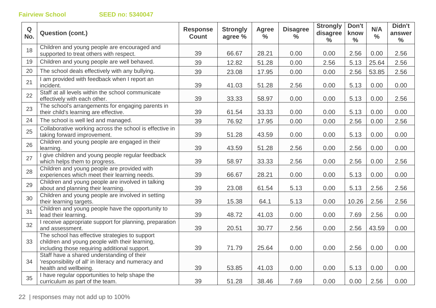| Q<br>No. | <b>Question (cont.)</b>                                                                                                                           | <b>Response</b><br><b>Count</b> | <b>Strongly</b><br>agree % | <b>Agree</b><br>$\frac{6}{6}$ | <b>Disagree</b><br>$\frac{0}{0}$ | <b>Strongly</b><br>disagree<br>$\frac{0}{0}$ | Don't<br>know<br>$\frac{0}{0}$ | N/A<br>$\frac{0}{0}$ | Didn't<br>answer<br>$\frac{0}{0}$ |
|----------|---------------------------------------------------------------------------------------------------------------------------------------------------|---------------------------------|----------------------------|-------------------------------|----------------------------------|----------------------------------------------|--------------------------------|----------------------|-----------------------------------|
| 18       | Children and young people are encouraged and<br>supported to treat others with respect.                                                           | 39                              | 66.67                      | 28.21                         | 0.00                             | 0.00                                         | 2.56                           | 0.00                 | 2.56                              |
| 19       | Children and young people are well behaved.                                                                                                       | 39                              | 12.82                      | 51.28                         | 0.00                             | 2.56                                         | 5.13                           | 25.64                | 2.56                              |
| 20       | The school deals effectively with any bullying.                                                                                                   | 39                              | 23.08                      | 17.95                         | 0.00                             | 0.00                                         | 2.56                           | 53.85                | 2.56                              |
| 21       | I am provided with feedback when I report an<br>incident.                                                                                         | 39                              | 41.03                      | 51.28                         | 2.56                             | 0.00                                         | 5.13                           | 0.00                 | 0.00                              |
| 22       | Staff at all levels within the school communicate<br>effectively with each other.                                                                 | 39                              | 33.33                      | 58.97                         | 0.00                             | 0.00                                         | 5.13                           | 0.00                 | 2.56                              |
| 23       | The school's arrangements for engaging parents in<br>their child's learning are effective.                                                        | 39                              | 61.54                      | 33.33                         | 0.00                             | 0.00                                         | 5.13                           | 0.00                 | 0.00                              |
| 24       | The school is well led and managed.                                                                                                               | 39                              | 76.92                      | 17.95                         | 0.00                             | 0.00                                         | 2.56                           | 0.00                 | 2.56                              |
| 25       | Collaborative working across the school is effective in<br>taking forward improvement.                                                            | 39                              | 51.28                      | 43.59                         | 0.00                             | 0.00                                         | 5.13                           | 0.00                 | 0.00                              |
| 26       | Children and young people are engaged in their<br>learning.                                                                                       | 39                              | 43.59                      | 51.28                         | 2.56                             | 0.00                                         | 2.56                           | 0.00                 | 0.00                              |
| 27       | I give children and young people regular feedback<br>which helps them to progress.                                                                | 39                              | 58.97                      | 33.33                         | 2.56                             | 0.00                                         | 2.56                           | 0.00                 | 2.56                              |
| 28       | Children and young people are provided with<br>experiences which meet their learning needs.                                                       | 39                              | 66.67                      | 28.21                         | 0.00                             | 0.00                                         | 5.13                           | 0.00                 | 0.00                              |
| 29       | Children and young people are involved in talking<br>about and planning their learning.                                                           | 39                              | 23.08                      | 61.54                         | 5.13                             | 0.00                                         | 5.13                           | 2.56                 | 2.56                              |
| 30       | Children and young people are involved in setting<br>their learning targets.                                                                      | 39                              | 15.38                      | 64.1                          | 5.13                             | 0.00                                         | 10.26                          | 2.56                 | 2.56                              |
| 31       | Children and young people have the opportunity to<br>lead their learning.                                                                         | 39                              | 48.72                      | 41.03                         | 0.00                             | 0.00                                         | 7.69                           | 2.56                 | 0.00                              |
| 32       | I receive appropriate support for planning, preparation<br>and assessment.                                                                        | 39                              | 20.51                      | 30.77                         | 2.56                             | 0.00                                         | 2.56                           | 43.59                | 0.00                              |
| 33       | The school has effective strategies to support<br>children and young people with their learning,<br>including those requiring additional support. | 39                              | 71.79                      | 25.64                         | 0.00                             | 0.00                                         | 2.56                           | 0.00                 | 0.00                              |
| 34       | Staff have a shared understanding of their<br>'responsibility of all' in literacy and numeracy and<br>health and wellbeing.                       | 39                              | 53.85                      | 41.03                         | 0.00                             | 0.00                                         | 5.13                           | 0.00                 | 0.00                              |
| 35       | I have regular opportunities to help shape the<br>curriculum as part of the team.                                                                 | 39                              | 51.28                      | 38.46                         | 7.69                             | 0.00                                         | 0.00                           | 2.56                 | 0.00                              |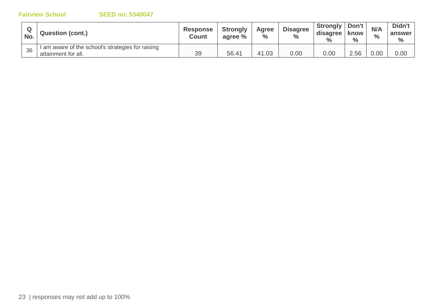| No. | <b>Question (cont.)</b>                                                  | <b>Response</b><br><b>Count</b> | <b>Strongly</b><br>agree % | Agree<br>$\frac{0}{0}$ | <b>Disagree</b><br>$\frac{0}{0}$ | Strongly<br>disagree<br>$\%$ | Don't<br><b>know</b><br>$\frac{0}{0}$ | N/A<br>$\frac{0}{0}$ | Didn't<br>answer<br>$\%$ |
|-----|--------------------------------------------------------------------------|---------------------------------|----------------------------|------------------------|----------------------------------|------------------------------|---------------------------------------|----------------------|--------------------------|
| 36  | I am aware of the school's strategies for raising<br>attainment for all. | 39                              | 56.41                      | 41.03                  | 0.00                             | 0.00                         | 2.56                                  | 0.00                 | 0.00                     |